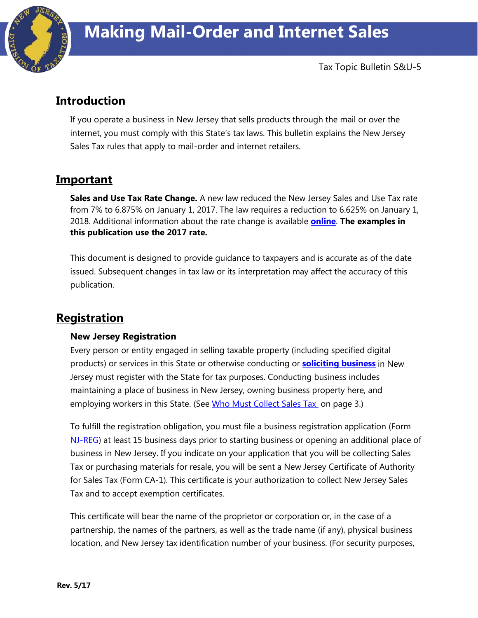

# **Introduction**

If you operate a business in New Jersey that sells products through the mail or over the internet, you must comply with this State's tax laws. This bulletin explains the New Jersey Sales Tax rules that apply to mail-order and internet retailers.

# **Important**

**Sales and Use Tax Rate Change.** A new law reduced the New Jersey Sales and Use Tax rate from 7% to 6.875% on January 1, 2017. The law requires a reduction to 6.625% on January 1, 2018. Additional information about the rate change is available **[online](http://www.state.nj.us/treasury/taxation/ratechange/su-overview.shtml)**. **The examples in this publication use the 2017 rate.**

This document is designed to provide guidance to taxpayers and is accurate as of the date issued. Subsequent changes in tax law or its interpretation may affect the accuracy of this publication.

# **Registration**

## **New Jersey Registration**

Every person or entity engaged in selling taxable property (including specified digital products) or services in this State or otherwise conducting or **[soliciting business](http://www.state.nj.us/treasury/taxation/sales_use_tax.shtml)** in New Jersey must register with the State for tax purposes. Conducting business includes maintaining a place of business in New Jersey, owning business property here, and employing workers in this State. (See [Who Must Collect Sales Tax](#page-2-0) on page 3.)

To fulfill the registration obligation, you must file a business registration application (Form [NJ-REG\)](http://www.state.nj.us/treasury/revenue/forms/2000.pdf) at least 15 business days prior to starting business or opening an additional place of business in New Jersey. If you indicate on your application that you will be collecting Sales Tax or purchasing materials for resale, you will be sent a New Jersey Certificate of Authority for Sales Tax (Form CA-1). This certificate is your authorization to collect New Jersey Sales Tax and to accept exemption certificates.

This certificate will bear the name of the proprietor or corporation or, in the case of a partnership, the names of the partners, as well as the trade name (if any), physical business location, and New Jersey tax identification number of your business. (For security purposes,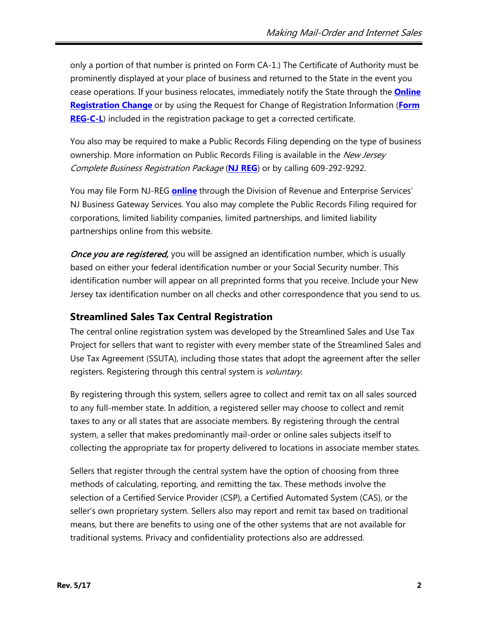only a portion of that number is printed on Form CA-1.) The Certificate of Authority must be prominently displayed at your place of business and returned to the State in the event you cease operations. If your business relocates, immediately notify the State through the **[Online](https://www16.state.nj.us/TYTR_REGC/jsp/OwnershipLogin.jsp)  [Registration Change](https://www16.state.nj.us/TYTR_REGC/jsp/OwnershipLogin.jsp)** or by using the Request for Change of Registration Information (**[Form](http://www.state.nj.us/treasury/revenue/revprnt.shtml)  [REG-C-L](http://www.state.nj.us/treasury/revenue/revprnt.shtml)**) included in the registration package to get a corrected certificate.

You also may be required to make a Public Records Filing depending on the type of business ownership. More information on Public Records Filing is available in the New Jersey Complete Business Registration Package (**[NJ REG](http://www.state.nj.us/treasury/revenue/revprnt.shtml)**) or by calling 609-292-9292.

You may file Form NJ-REG **[online](http://www.state.nj.us/treasury/revenue/)** through the Division of Revenue and Enterprise Services' NJ Business Gateway Services. You also may complete the Public Records Filing required for corporations, limited liability companies, limited partnerships, and limited liability partnerships online from this website.

Once you are registered, you will be assigned an identification number, which is usually based on either your federal identification number or your Social Security number. This identification number will appear on all preprinted forms that you receive. Include your New Jersey tax identification number on all checks and other correspondence that you send to us.

## **Streamlined Sales Tax Central Registration**

The central online registration system was developed by the Streamlined Sales and Use Tax Project for sellers that want to register with every member state of the Streamlined Sales and Use Tax Agreement (SSUTA), including those states that adopt the agreement after the seller registers. Registering through this central system is *voluntary*.

By registering through this system, sellers agree to collect and remit tax on all sales sourced to any full-member state. In addition, a registered seller may choose to collect and remit taxes to any or all states that are associate members. By registering through the central system, a seller that makes predominantly mail-order or online sales subjects itself to collecting the appropriate tax for property delivered to locations in associate member states.

Sellers that register through the central system have the option of choosing from three methods of calculating, reporting, and remitting the tax. These methods involve the selection of a Certified Service Provider (CSP), a Certified Automated System (CAS), or the seller's own proprietary system. Sellers also may report and remit tax based on traditional means, but there are benefits to using one of the other systems that are not available for traditional systems. Privacy and confidentiality protections also are addressed.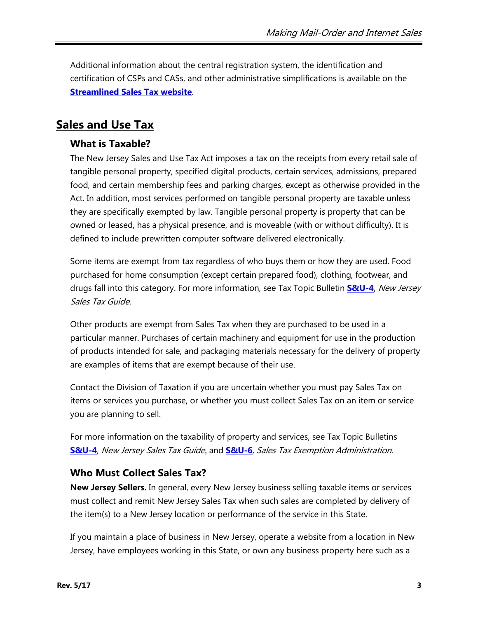Additional information about the central registration system, the identification and certification of CSPs and CASs, and other administrative simplifications is available on the **[Streamlined Sales Tax website](http://www.streamlinedsalestax.org/)**.

## **Sales and Use Tax**

## **What is Taxable?**

The New Jersey Sales and Use Tax Act imposes a tax on the receipts from every retail sale of tangible personal property, specified digital products, certain services, admissions, prepared food, and certain membership fees and parking charges, except as otherwise provided in the Act. In addition, most services performed on tangible personal property are taxable unless they are specifically exempted by law. Tangible personal property is property that can be owned or leased, has a physical presence, and is moveable (with or without difficulty). It is defined to include prewritten computer software delivered electronically.

Some items are exempt from tax regardless of who buys them or how they are used. Food purchased for home consumption (except certain prepared food), clothing, footwear, and drugs fall into this category. For more information, see Tax Topic Bulletin **[S&U-4](http://www.state.nj.us/treasury/taxation/pdf/pubs/sales/su4.pdf)**, New Jersey Sales Tax Guide.

Other products are exempt from Sales Tax when they are purchased to be used in a particular manner. Purchases of certain machinery and equipment for use in the production of products intended for sale, and packaging materials necessary for the delivery of property are examples of items that are exempt because of their use.

Contact the Division of Taxation if you are uncertain whether you must pay Sales Tax on items or services you purchase, or whether you must collect Sales Tax on an item or service you are planning to sell.

For more information on the taxability of property and services, see Tax Topic Bulletins **[S&U-4](http://www.state.nj.us/treasury/taxation/pdf/pubs/sales/su4.pdf)**, New Jersey Sales Tax Guide*,* and **[S&U-6](http://www.state.nj.us/treasury/taxation/pdf/pubs/sales/su6.pdf)**, Sales Tax Exemption Administration*.*

## <span id="page-2-0"></span>**Who Must Collect Sales Tax?**

**New Jersey Sellers.** In general, every New Jersey business selling taxable items or services must collect and remit New Jersey Sales Tax when such sales are completed by delivery of the item(s) to a New Jersey location or performance of the service in this State.

If you maintain a place of business in New Jersey, operate a website from a location in New Jersey, have employees working in this State, or own any business property here such as a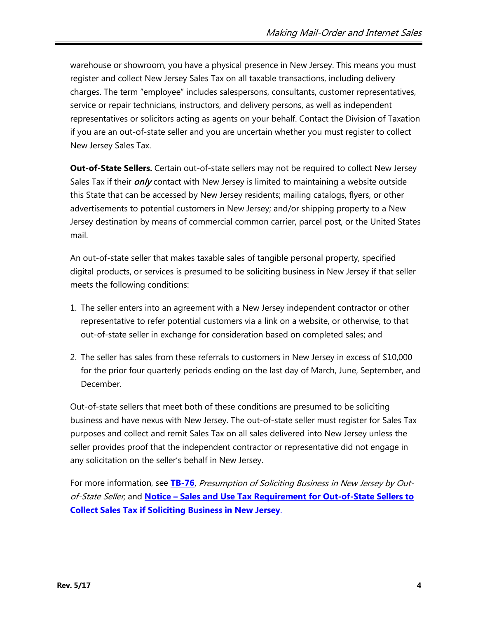warehouse or showroom, you have a physical presence in New Jersey. This means you must register and collect New Jersey Sales Tax on all taxable transactions, including delivery charges. The term "employee" includes salespersons, consultants, customer representatives, service or repair technicians, instructors, and delivery persons, as well as independent representatives or solicitors acting as agents on your behalf. Contact the Division of Taxation if you are an out-of-state seller and you are uncertain whether you must register to collect New Jersey Sales Tax.

**Out-of-State Sellers.** Certain out-of-state sellers may not be required to collect New Jersey Sales Tax if their *only* contact with New Jersey is limited to maintaining a website outside this State that can be accessed by New Jersey residents; mailing catalogs, flyers, or other advertisements to potential customers in New Jersey; and/or shipping property to a New Jersey destination by means of commercial common carrier, parcel post, or the United States mail.

An out-of-state seller that makes taxable sales of tangible personal property, specified digital products, or services is presumed to be soliciting business in New Jersey if that seller meets the following conditions:

- 1. The seller enters into an agreement with a New Jersey independent contractor or other representative to refer potential customers via a link on a website, or otherwise, to that out-of-state seller in exchange for consideration based on completed sales; and
- 2. The seller has sales from these referrals to customers in New Jersey in excess of \$10,000 for the prior four quarterly periods ending on the last day of March, June, September, and December.

Out-of-state sellers that meet both of these conditions are presumed to be soliciting business and have nexus with New Jersey. The out-of-state seller must register for Sales Tax purposes and collect and remit Sales Tax on all sales delivered into New Jersey unless the seller provides proof that the independent contractor or representative did not engage in any solicitation on the seller's behalf in New Jersey.

For more information, see **[TB-76](http://www.state.nj.us/treasury/taxation/pdf/pubs/tb/tb76.pdf)**, Presumption of Soliciting Business in New Jersey by Outof-State Seller, and **Notice – [Sales and Use Tax Requirement for Out-of-State Sellers to](http://www.state.nj.us/treasury/taxation/sales_use_tax.shtml)  [Collect Sales Tax if Soliciting Business in New Jersey](http://www.state.nj.us/treasury/taxation/sales_use_tax.shtml)**.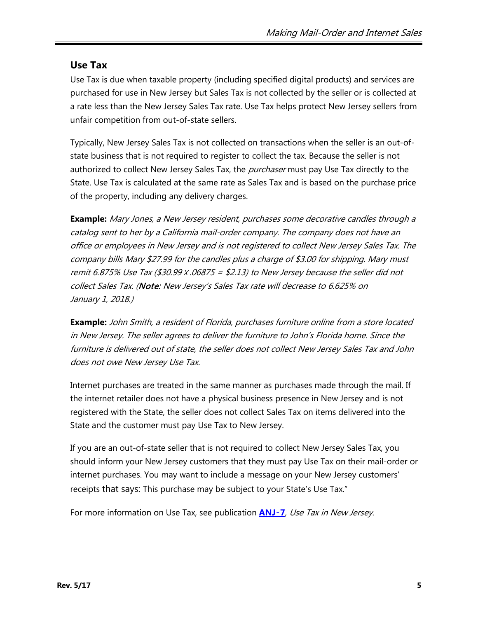## **Use Tax**

Use Tax is due when taxable property (including specified digital products) and services are purchased for use in New Jersey but Sales Tax is not collected by the seller or is collected at a rate less than the New Jersey Sales Tax rate. Use Tax helps protect New Jersey sellers from unfair competition from out-of-state sellers.

Typically, New Jersey Sales Tax is not collected on transactions when the seller is an out-ofstate business that is not required to register to collect the tax. Because the seller is not authorized to collect New Jersey Sales Tax, the *purchaser* must pay Use Tax directly to the State. Use Tax is calculated at the same rate as Sales Tax and is based on the purchase price of the property, including any delivery charges.

**Example:** Mary Jones, a New Jersey resident, purchases some decorative candles through a catalog sent to her by a California mail-order company. The company does not have an office or employees in New Jersey and is not registered to collect New Jersey Sales Tax. The company bills Mary \$27.99 for the candles plus a charge of \$3.00 for shipping. Mary must remit 6.875% Use Tax (\$30.99 x .06875 = \$2.13) to New Jersey because the seller did not collect Sales Tax. (Note: New Jersey's Sales Tax rate will decrease to 6.625% on January 1, 2018.)

**Example:** John Smith, a resident of Florida, purchases furniture online from a store located in New Jersey. The seller agrees to deliver the furniture to John's Florida home. Since the furniture is delivered out of state, the seller does not collect New Jersey Sales Tax and John does not owe New Jersey Use Tax.

Internet purchases are treated in the same manner as purchases made through the mail. If the internet retailer does not have a physical business presence in New Jersey and is not registered with the State, the seller does not collect Sales Tax on items delivered into the State and the customer must pay Use Tax to New Jersey.

If you are an out-of-state seller that is not required to collect New Jersey Sales Tax, you should inform your New Jersey customers that they must pay Use Tax on their mail-order or internet purchases. You may want to include a message on your New Jersey customers' receipts that says: This purchase may be subject to your State's Use Tax."

For more information on Use Tax, see publication **[ANJ](http://www.state.nj.us/treasury/taxation/pdf/pubs/sales/anj7.pdf)**‑**7**, Use Tax in New Jersey.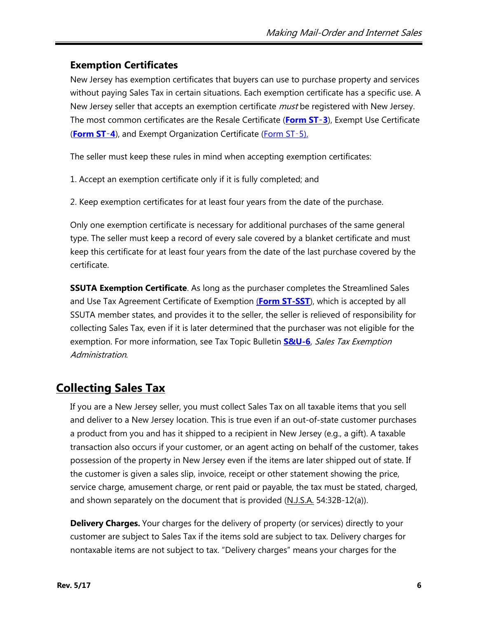## **Exemption Certificates**

New Jersey has exemption certificates that buyers can use to purchase property and services without paying Sales Tax in certain situations. Each exemption certificate has a specific use. A New Jersey seller that accepts an exemption certificate *must* be registered with New Jersey. The most common certificates are the Resale Certificate (**[Form ST](http://www.state.nj.us/treasury/taxation/pdf/other_forms/sales/st3.pdf)**‑**3**), Exempt Use Certificate (**[Form ST](http://www.state.nj.us/treasury/taxation/pdf/other_forms/sales/st4.pdf)**‑**4**), and Exempt Organization Certificate [\(Form ST](http://www.state.nj.us/treasury/taxation/pdf/pubs/sales/st5.pdf)‑5).

The seller must keep these rules in mind when accepting exemption certificates:

- 1. Accept an exemption certificate only if it is fully completed; and
- 2. Keep exemption certificates for at least four years from the date of the purchase.

Only one exemption certificate is necessary for additional purchases of the same general type. The seller must keep a record of every sale covered by a blanket certificate and must keep this certificate for at least four years from the date of the last purchase covered by the certificate.

**SSUTA Exemption Certificate**. As long as the purchaser completes the Streamlined Sales and Use Tax Agreement Certificate of Exemption (**[Form ST-SST](http://www.state.nj.us/treasury/taxation/pdf/other_forms/sales/st_sst.pdf)**), which is accepted by all SSUTA member states, and provides it to the seller, the seller is relieved of responsibility for collecting Sales Tax, even if it is later determined that the purchaser was not eligible for the exemption. For more information, see Tax Topic Bulletin **[S&U-6](http://www.state.nj.us/treasury/taxation/pdf/pubs/sales/su6.pdf)**, Sales Tax Exemption Administration.

# **Collecting Sales Tax**

If you are a New Jersey seller, you must collect Sales Tax on all taxable items that you sell and deliver to a New Jersey location. This is true even if an out-of-state customer purchases a product from you and has it shipped to a recipient in New Jersey (e.g., a gift). A taxable transaction also occurs if your customer, or an agent acting on behalf of the customer, takes possession of the property in New Jersey even if the items are later shipped out of state. If the customer is given a sales slip, invoice, receipt or other statement showing the price, service charge, amusement charge, or rent paid or payable, the tax must be stated, charged, and shown separately on the document that is provided  $(M.J.S.A. 54:32B-12(a))$ .

**Delivery Charges.** Your charges for the delivery of property (or services) directly to your customer are subject to Sales Tax if the items sold are subject to tax. Delivery charges for nontaxable items are not subject to tax. "Delivery charges" means your charges for the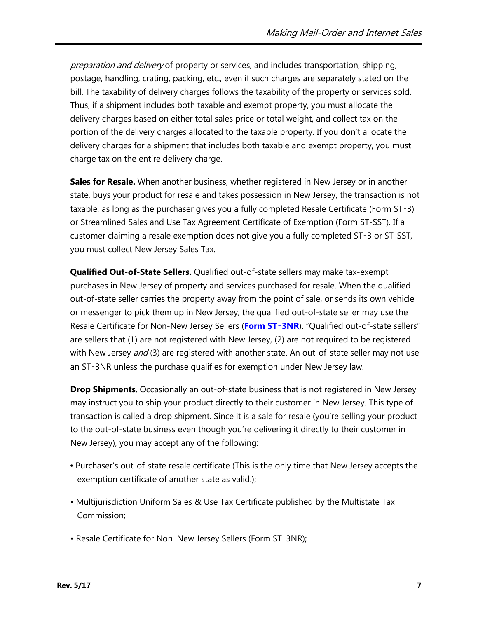preparation and delivery of property or services, and includes transportation, shipping, postage, handling, crating, packing, etc., even if such charges are separately stated on the bill. The taxability of delivery charges follows the taxability of the property or services sold. Thus, if a shipment includes both taxable and exempt property, you must allocate the delivery charges based on either total sales price or total weight, and collect tax on the portion of the delivery charges allocated to the taxable property. If you don't allocate the delivery charges for a shipment that includes both taxable and exempt property, you must charge tax on the entire delivery charge.

**Sales for Resale.** When another business, whether registered in New Jersey or in another state, buys your product for resale and takes possession in New Jersey, the transaction is not taxable, as long as the purchaser gives you a fully completed Resale Certificate (Form ST‑3) or Streamlined Sales and Use Tax Agreement Certificate of Exemption (Form ST-SST). If a customer claiming a resale exemption does not give you a fully completed ST‑3 or ST-SST, you must collect New Jersey Sales Tax.

**Qualified Out-of-State Sellers.** Qualified out-of-state sellers may make tax-exempt purchases in New Jersey of property and services purchased for resale. When the qualified out-of-state seller carries the property away from the point of sale, or sends its own vehicle or messenger to pick them up in New Jersey, the qualified out-of-state seller may use the Resale Certificate for Non-New Jersey Sellers (**[Form ST](http://www.state.nj.us/treasury/taxation/pdf/other_forms/sales/st3nr.pdf)**‑**3NR**). "Qualified out-of-state sellers" are sellers that (1) are not registered with New Jersey, (2) are not required to be registered with New Jersey and (3) are registered with another state. An out-of-state seller may not use an ST‑3NR unless the purchase qualifies for exemption under New Jersey law.

**Drop Shipments.** Occasionally an out-of-state business that is not registered in New Jersey may instruct you to ship your product directly to their customer in New Jersey. This type of transaction is called a drop shipment. Since it is a sale for resale (you're selling your product to the out-of-state business even though you're delivering it directly to their customer in New Jersey), you may accept any of the following:

- Purchaser's out-of-state resale certificate (This is the only time that New Jersey accepts the exemption certificate of another state as valid.);
- Multijurisdiction Uniform Sales & Use Tax Certificate published by the Multistate Tax Commission;
- Resale Certificate for Non‑New Jersey Sellers (Form ST‑3NR);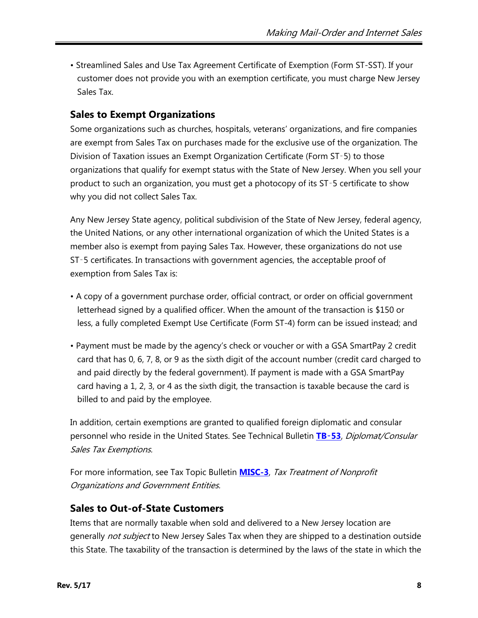• Streamlined Sales and Use Tax Agreement Certificate of Exemption (Form ST-SST). If your customer does not provide you with an exemption certificate, you must charge New Jersey Sales Tax.

## **Sales to Exempt Organizations**

Some organizations such as churches, hospitals, veterans' organizations, and fire companies are exempt from Sales Tax on purchases made for the exclusive use of the organization. The Division of Taxation issues an Exempt Organization Certificate (Form ST‑5) to those organizations that qualify for exempt status with the State of New Jersey. When you sell your product to such an organization, you must get a photocopy of its ST‑5 certificate to show why you did not collect Sales Tax.

Any New Jersey State agency, political subdivision of the State of New Jersey, federal agency, the United Nations, or any other international organization of which the United States is a member also is exempt from paying Sales Tax. However, these organizations do not use ST‑5 certificates. In transactions with government agencies, the acceptable proof of exemption from Sales Tax is:

- A copy of a government purchase order, official contract, or order on official government letterhead signed by a qualified officer. When the amount of the transaction is \$150 or less, a fully completed Exempt Use Certificate (Form ST-4) form can be issued instead; and
- Payment must be made by the agency's check or voucher or with a GSA SmartPay 2 credit card that has 0, 6, 7, 8, or 9 as the sixth digit of the account number (credit card charged to and paid directly by the federal government). If payment is made with a GSA SmartPay card having a 1, 2, 3, or 4 as the sixth digit, the transaction is taxable because the card is billed to and paid by the employee.

In addition, certain exemptions are granted to qualified foreign diplomatic and consular personnel who reside in the United States. See Technical Bulletin **[TB](http://www.state.nj.us/treasury/taxation/pdf/pubs/tb/tb53.pdf)**‑**53**, Diplomat/Consular Sales Tax Exemptions.

For more information, see Tax Topic Bulletin **[MISC-3](http://www.state.nj.us/treasury/taxation/pdf/pubs/misc3.pdf)**, Tax Treatment of Nonprofit Organizations and Government Entities.

## **Sales to Out-of-State Customers**

Items that are normally taxable when sold and delivered to a New Jersey location are generally not subject to New Jersey Sales Tax when they are shipped to a destination outside this State. The taxability of the transaction is determined by the laws of the state in which the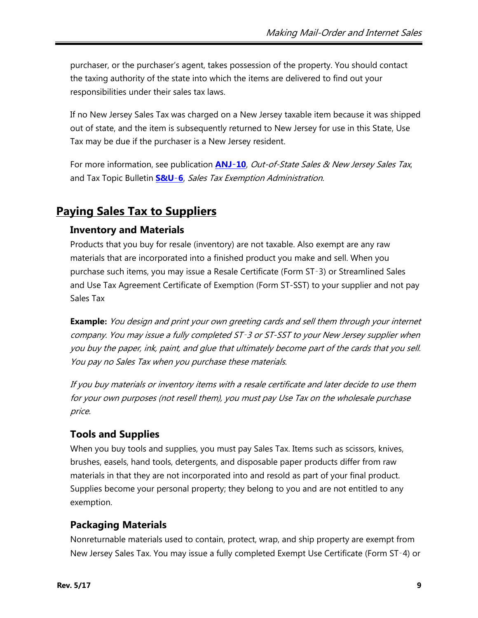purchaser, or the purchaser's agent, takes possession of the property. You should contact the taxing authority of the state into which the items are delivered to find out your responsibilities under their sales tax laws.

If no New Jersey Sales Tax was charged on a New Jersey taxable item because it was shipped out of state, and the item is subsequently returned to New Jersey for use in this State, Use Tax may be due if the purchaser is a New Jersey resident.

For more information, see publication **[ANJ](http://www.state.nj.us/treasury/taxation/pdf/pubs/sales/anj10.pdf)-10**, Out-of-State Sales & New Jersey Sales Tax, and Tax Topic Bulletin **[S&U](http://www.state.nj.us/treasury/taxation/pdf/pubs/sales/su6.pdf)**‑**6**, Sales Tax Exemption Administration.

# **Paying Sales Tax to Suppliers**

## **Inventory and Materials**

Products that you buy for resale (inventory) are not taxable. Also exempt are any raw materials that are incorporated into a finished product you make and sell. When you purchase such items, you may issue a Resale Certificate (Form ST‑3) or Streamlined Sales and Use Tax Agreement Certificate of Exemption (Form ST-SST) to your supplier and not pay Sales Tax

**Example:** You design and print your own greeting cards and sell them through your internet company. You may issue a fully completed ST‑3 or ST-SST to your New Jersey supplier when you buy the paper, ink, paint, and glue that ultimately become part of the cards that you sell. You pay no Sales Tax when you purchase these materials.

If you buy materials or inventory items with a resale certificate and later decide to use them for your own purposes (not resell them), you must pay Use Tax on the wholesale purchase price.

## **Tools and Supplies**

When you buy tools and supplies, you must pay Sales Tax. Items such as scissors, knives, brushes, easels, hand tools, detergents, and disposable paper products differ from raw materials in that they are not incorporated into and resold as part of your final product. Supplies become your personal property; they belong to you and are not entitled to any exemption.

## **Packaging Materials**

Nonreturnable materials used to contain, protect, wrap, and ship property are exempt from New Jersey Sales Tax. You may issue a fully completed Exempt Use Certificate (Form ST‑4) or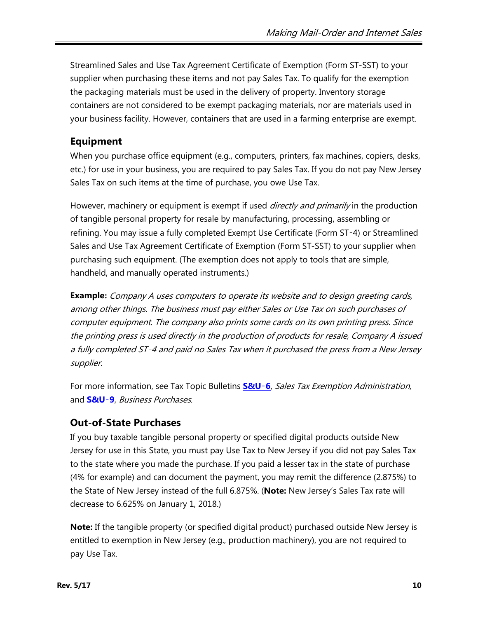Streamlined Sales and Use Tax Agreement Certificate of Exemption (Form ST-SST) to your supplier when purchasing these items and not pay Sales Tax. To qualify for the exemption the packaging materials must be used in the delivery of property. Inventory storage containers are not considered to be exempt packaging materials, nor are materials used in your business facility. However, containers that are used in a farming enterprise are exempt.

## **Equipment**

When you purchase office equipment (e.g., computers, printers, fax machines, copiers, desks, etc.) for use in your business, you are required to pay Sales Tax. If you do not pay New Jersey Sales Tax on such items at the time of purchase, you owe Use Tax.

However, machinery or equipment is exempt if used *directly and primarily* in the production of tangible personal property for resale by manufacturing, processing, assembling or refining. You may issue a fully completed Exempt Use Certificate (Form ST‑4) or Streamlined Sales and Use Tax Agreement Certificate of Exemption (Form ST-SST) to your supplier when purchasing such equipment. (The exemption does not apply to tools that are simple, handheld, and manually operated instruments.)

**Example:** Company A uses computers to operate its website and to design greeting cards, among other things. The business must pay either Sales or Use Tax on such purchases of computer equipment. The company also prints some cards on its own printing press. Since the printing press is used directly in the production of products for resale, Company A issued a fully completed ST‑4 and paid no Sales Tax when it purchased the press from a New Jersey supplier.

For more information, see Tax Topic Bulletins **[S&U](http://www.state.nj.us/treasury/taxation/pdf/pubs/sales/su6.pdf)**‑**6**, Sales Tax Exemption Administration, and **[S&U](http://www.state.nj.us/treasury/taxation/pdf/pubs/sales/su9.pdf)**‑**9**, Business Purchases.

## **Out-of-State Purchases**

If you buy taxable tangible personal property or specified digital products outside New Jersey for use in this State, you must pay Use Tax to New Jersey if you did not pay Sales Tax to the state where you made the purchase. If you paid a lesser tax in the state of purchase (4% for example) and can document the payment, you may remit the difference (2.875%) to the State of New Jersey instead of the full 6.875%. (**Note:** New Jersey's Sales Tax rate will decrease to 6.625% on January 1, 2018.)

**Note:** If the tangible property (or specified digital product) purchased outside New Jersey is entitled to exemption in New Jersey (e.g., production machinery), you are not required to pay Use Tax.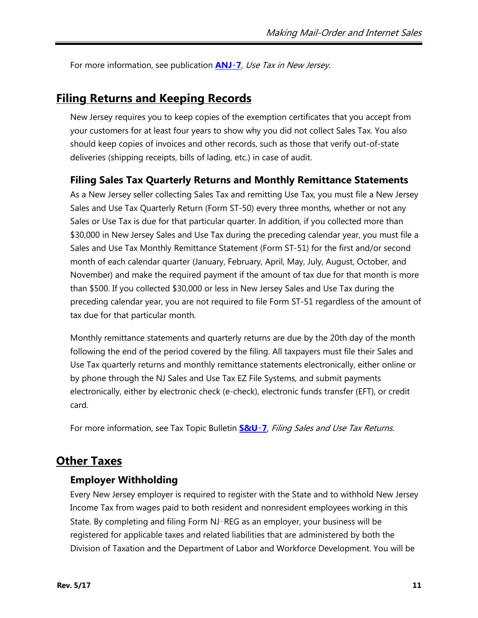For more information, see publication **[ANJ](http://www.state.nj.us/treasury/taxation/pdf/pubs/sales/anj7.pdf)**‑**7**, Use Tax in New Jersey.

## **Filing Returns and Keeping Records**

New Jersey requires you to keep copies of the exemption certificates that you accept from your customers for at least four years to show why you did not collect Sales Tax. You also should keep copies of invoices and other records, such as those that verify out-of-state deliveries (shipping receipts, bills of lading, etc.) in case of audit.

#### **Filing Sales Tax Quarterly Returns and Monthly Remittance Statements**

As a New Jersey seller collecting Sales Tax and remitting Use Tax, you must file a New Jersey Sales and Use Tax Quarterly Return (Form ST-50) every three months, whether or not any Sales or Use Tax is due for that particular quarter. In addition, if you collected more than \$30,000 in New Jersey Sales and Use Tax during the preceding calendar year, you must file a Sales and Use Tax Monthly Remittance Statement (Form ST-51) for the first and/or second month of each calendar quarter (January, February, April, May, July, August, October, and November) and make the required payment if the amount of tax due for that month is more than \$500. If you collected \$30,000 or less in New Jersey Sales and Use Tax during the preceding calendar year, you are not required to file Form ST-51 regardless of the amount of tax due for that particular month.

Monthly remittance statements and quarterly returns are due by the 20th day of the month following the end of the period covered by the filing. All taxpayers must file their Sales and Use Tax quarterly returns and monthly remittance statements electronically, either online or by phone through the NJ Sales and Use Tax EZ File Systems, and submit payments electronically, either by electronic check (e-check), electronic funds transfer (EFT), or credit card.

For more information, see Tax Topic Bulletin **[S&U](http://www.state.nj.us/treasury/taxation/pdf/pubs/sales/su7.pdf)**‑**7**, Filing Sales and Use Tax Returns.

## **Other Taxes**

#### **Employer Withholding**

Every New Jersey employer is required to register with the State and to withhold New Jersey Income Tax from wages paid to both resident and nonresident employees working in this State. By completing and filing Form NJ-REG as an employer, your business will be registered for applicable taxes and related liabilities that are administered by both the Division of Taxation and the Department of Labor and Workforce Development. You will be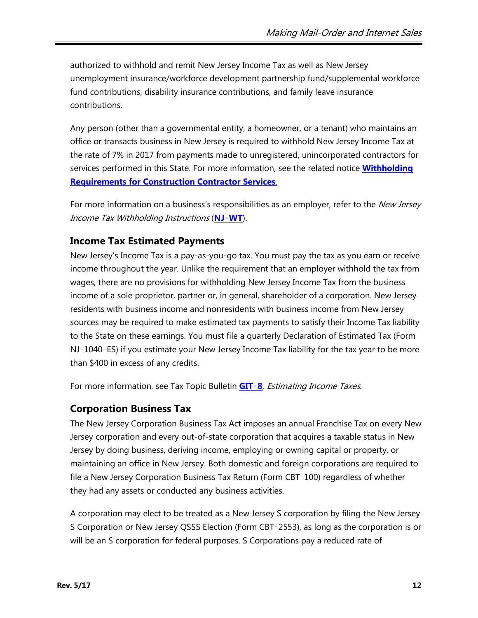authorized to withhold and remit New Jersey Income Tax as well as New Jersey unemployment insurance/workforce development partnership fund/supplemental workforce fund contributions, disability insurance contributions, and family leave insurance contributions.

Any person (other than a governmental entity, a homeowner, or a tenant) who maintains an office or transacts business in New Jersey is required to withhold New Jersey Income Tax at the rate of 7% in 2017 from payments made to unregistered, unincorporated contractors for services performed in this State. For more information, see the related notice **[Withholding](http://www.state.nj.us/treasury/taxation/noticegit.shtml)  [Requirements for Construction Contractor Services](http://www.state.nj.us/treasury/taxation/noticegit.shtml)**.

For more information on a business's responsibilities as an employer, refer to the New Jersey Income Tax Withholding Instructions (**NJ**‑**[WT](http://www.state.nj.us/treasury/taxation/pdf/other_forms/git-er/06njwt.pdf)**).

## **Income Tax Estimated Payments**

New Jersey's Income Tax is a pay-as-you-go tax. You must pay the tax as you earn or receive income throughout the year. Unlike the requirement that an employer withhold the tax from wages, there are no provisions for withholding New Jersey Income Tax from the business income of a sole proprietor, partner or, in general, shareholder of a corporation. New Jersey residents with business income and nonresidents with business income from New Jersey sources may be required to make estimated tax payments to satisfy their Income Tax liability to the State on these earnings. You must file a quarterly Declaration of Estimated Tax (Form NJ-1040-ES) if you estimate your New Jersey Income Tax liability for the tax year to be more than \$400 in excess of any credits.

For more information, see Tax Topic Bulletin **[GIT](http://www.state.nj.us/treasury/taxation/pdf/pubs/tgi-ee/git8.pdf)**‑**8**, Estimating Income Taxes.

## **Corporation Business Tax**

The New Jersey Corporation Business Tax Act imposes an annual Franchise Tax on every New Jersey corporation and every out-of-state corporation that acquires a taxable status in New Jersey by doing business, deriving income, employing or owning capital or property, or maintaining an office in New Jersey. Both domestic and foreign corporations are required to file a New Jersey Corporation Business Tax Return (Form CBT‑100) regardless of whether they had any assets or conducted any business activities.

A corporation may elect to be treated as a New Jersey S corporation by filing the New Jersey S Corporation or New Jersey QSSS Election (Form CBT‑2553), as long as the corporation is or will be an S corporation for federal purposes. S Corporations pay a reduced rate of